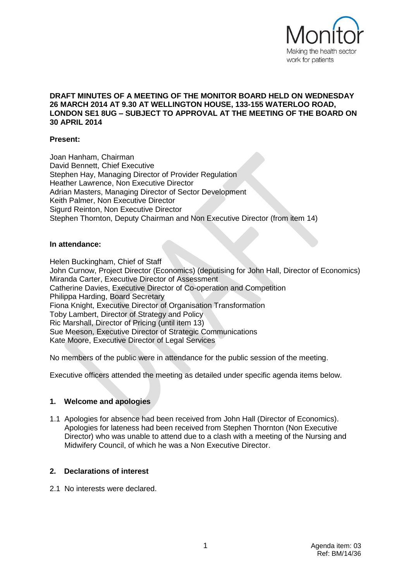

### **DRAFT MINUTES OF A MEETING OF THE MONITOR BOARD HELD ON WEDNESDAY 26 MARCH 2014 AT 9.30 AT WELLINGTON HOUSE, 133-155 WATERLOO ROAD, LONDON SE1 8UG – SUBJECT TO APPROVAL AT THE MEETING OF THE BOARD ON 30 APRIL 2014**

### **Present:**

Joan Hanham, Chairman David Bennett, Chief Executive Stephen Hay, Managing Director of Provider Regulation Heather Lawrence, Non Executive Director Adrian Masters, Managing Director of Sector Development Keith Palmer, Non Executive Director Sigurd Reinton, Non Executive Director Stephen Thornton, Deputy Chairman and Non Executive Director (from item 14)

#### **In attendance:**

Helen Buckingham, Chief of Staff John Curnow, Project Director (Economics) (deputising for John Hall, Director of Economics) Miranda Carter, Executive Director of Assessment Catherine Davies, Executive Director of Co-operation and Competition Philippa Harding, Board Secretary Fiona Knight, Executive Director of Organisation Transformation Toby Lambert, Director of Strategy and Policy Ric Marshall, Director of Pricing (until item 13) Sue Meeson, Executive Director of Strategic Communications Kate Moore, Executive Director of Legal Services

No members of the public were in attendance for the public session of the meeting.

Executive officers attended the meeting as detailed under specific agenda items below.

### **1. Welcome and apologies**

1.1 Apologies for absence had been received from John Hall (Director of Economics). Apologies for lateness had been received from Stephen Thornton (Non Executive Director) who was unable to attend due to a clash with a meeting of the Nursing and Midwifery Council, of which he was a Non Executive Director.

### **2. Declarations of interest**

2.1 No interests were declared.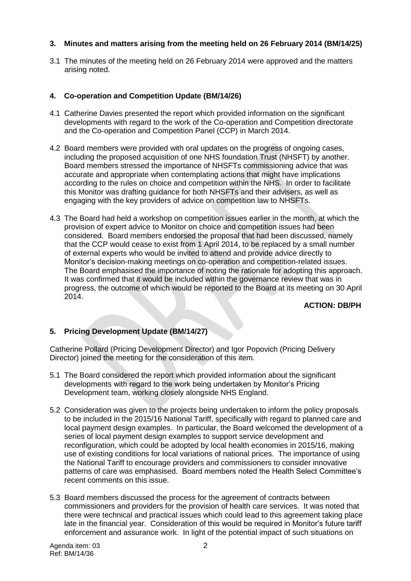# **3. Minutes and matters arising from the meeting held on 26 February 2014 (BM/14/25)**

3.1 The minutes of the meeting held on 26 February 2014 were approved and the matters arising noted.

### **4. Co-operation and Competition Update (BM/14/26)**

- 4.1 Catherine Davies presented the report which provided information on the significant developments with regard to the work of the Co-operation and Competition directorate and the Co-operation and Competition Panel (CCP) in March 2014.
- 4.2 Board members were provided with oral updates on the progress of ongoing cases, including the proposed acquisition of one NHS foundation Trust (NHSFT) by another. Board members stressed the importance of NHSFTs commissioning advice that was accurate and appropriate when contemplating actions that might have implications according to the rules on choice and competition within the NHS. In order to facilitate this Monitor was drafting guidance for both NHSFTs and their advisers, as well as engaging with the key providers of advice on competition law to NHSFTs.
- 4.3 The Board had held a workshop on competition issues earlier in the month, at which the provision of expert advice to Monitor on choice and competition issues had been considered. Board members endorsed the proposal that had been discussed, namely that the CCP would cease to exist from 1 April 2014, to be replaced by a small number of external experts who would be invited to attend and provide advice directly to Monitor's decision-making meetings on co-operation and competition-related issues. The Board emphasised the importance of noting the rationale for adopting this approach. It was confirmed that it would be included within the governance review that was in progress, the outcome of which would be reported to the Board at its meeting on 30 April 2014.

### **ACTION: DB/PH**

# **5. Pricing Development Update (BM/14/27)**

Catherine Pollard (Pricing Development Director) and Igor Popovich (Pricing Delivery Director) joined the meeting for the consideration of this item.

- 5.1 The Board considered the report which provided information about the significant developments with regard to the work being undertaken by Monitor's Pricing Development team, working closely alongside NHS England.
- 5.2 Consideration was given to the projects being undertaken to inform the policy proposals to be included in the 2015/16 National Tariff, specifically with regard to planned care and local payment design examples. In particular, the Board welcomed the development of a series of local payment design examples to support service development and reconfiguration, which could be adopted by local health economies in 2015/16, making use of existing conditions for local variations of national prices. The importance of using the National Tariff to encourage providers and commissioners to consider innovative patterns of care was emphasised. Board members noted the Health Select Committee's recent comments on this issue.
- 5.3 Board members discussed the process for the agreement of contracts between commissioners and providers for the provision of health care services. It was noted that there were technical and practical issues which could lead to this agreement taking place late in the financial year. Consideration of this would be required in Monitor's future tariff enforcement and assurance work. In light of the potential impact of such situations on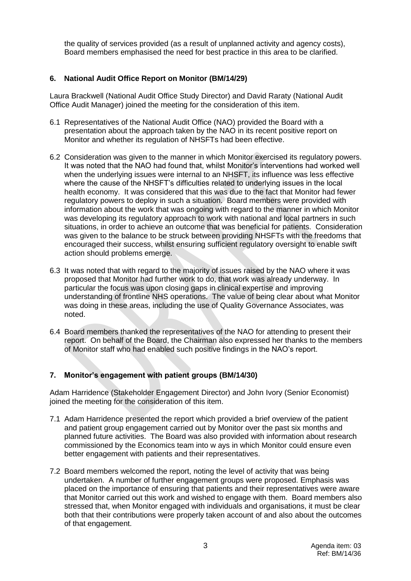the quality of services provided (as a result of unplanned activity and agency costs), Board members emphasised the need for best practice in this area to be clarified.

### **6. National Audit Office Report on Monitor (BM/14/29)**

Laura Brackwell (National Audit Office Study Director) and David Raraty (National Audit Office Audit Manager) joined the meeting for the consideration of this item.

- 6.1 Representatives of the National Audit Office (NAO) provided the Board with a presentation about the approach taken by the NAO in its recent positive report on Monitor and whether its regulation of NHSFTs had been effective.
- 6.2 Consideration was given to the manner in which Monitor exercised its regulatory powers. It was noted that the NAO had found that, whilst Monitor's interventions had worked well when the underlying issues were internal to an NHSFT, its influence was less effective where the cause of the NHSFT's difficulties related to underlying issues in the local health economy. It was considered that this was due to the fact that Monitor had fewer regulatory powers to deploy in such a situation. Board members were provided with information about the work that was ongoing with regard to the manner in which Monitor was developing its regulatory approach to work with national and local partners in such situations, in order to achieve an outcome that was beneficial for patients. Consideration was given to the balance to be struck between providing NHSFTs with the freedoms that encouraged their success, whilst ensuring sufficient regulatory oversight to enable swift action should problems emerge.
- 6.3 It was noted that with regard to the majority of issues raised by the NAO where it was proposed that Monitor had further work to do, that work was already underway. In particular the focus was upon closing gaps in clinical expertise and improving understanding of frontline NHS operations. The value of being clear about what Monitor was doing in these areas, including the use of Quality Governance Associates, was noted.
- 6.4 Board members thanked the representatives of the NAO for attending to present their report. On behalf of the Board, the Chairman also expressed her thanks to the members of Monitor staff who had enabled such positive findings in the NAO's report.

# **7. Monitor's engagement with patient groups (BM/14/30)**

Adam Harridence (Stakeholder Engagement Director) and John Ivory (Senior Economist) joined the meeting for the consideration of this item.

- 7.1 Adam Harridence presented the report which provided a brief overview of the patient and patient group engagement carried out by Monitor over the past six months and planned future activities. The Board was also provided with information about research commissioned by the Economics team into w ays in which Monitor could ensure even better engagement with patients and their representatives.
- 7.2 Board members welcomed the report, noting the level of activity that was being undertaken. A number of further engagement groups were proposed. Emphasis was placed on the importance of ensuring that patients and their representatives were aware that Monitor carried out this work and wished to engage with them. Board members also stressed that, when Monitor engaged with individuals and organisations, it must be clear both that their contributions were properly taken account of and also about the outcomes of that engagement.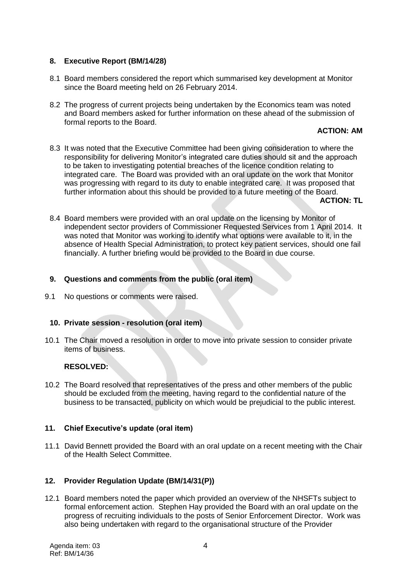# **8. Executive Report (BM/14/28)**

- 8.1 Board members considered the report which summarised key development at Monitor since the Board meeting held on 26 February 2014.
- 8.2 The progress of current projects being undertaken by the Economics team was noted and Board members asked for further information on these ahead of the submission of formal reports to the Board.

### **ACTION: AM**

8.3 It was noted that the Executive Committee had been giving consideration to where the responsibility for delivering Monitor's integrated care duties should sit and the approach to be taken to investigating potential breaches of the licence condition relating to integrated care. The Board was provided with an oral update on the work that Monitor was progressing with regard to its duty to enable integrated care. It was proposed that further information about this should be provided to a future meeting of the Board.

**ACTION: TL**

8.4 Board members were provided with an oral update on the licensing by Monitor of independent sector providers of Commissioner Requested Services from 1 April 2014. It was noted that Monitor was working to identify what options were available to it, in the absence of Health Special Administration, to protect key patient services, should one fail financially. A further briefing would be provided to the Board in due course.

### **9. Questions and comments from the public (oral item)**

9.1 No questions or comments were raised.

# **10. Private session - resolution (oral item)**

10.1 The Chair moved a resolution in order to move into private session to consider private items of business.

### **RESOLVED:**

10.2 The Board resolved that representatives of the press and other members of the public should be excluded from the meeting, having regard to the confidential nature of the business to be transacted, publicity on which would be prejudicial to the public interest.

# **11. Chief Executive's update (oral item)**

11.1 David Bennett provided the Board with an oral update on a recent meeting with the Chair of the Health Select Committee.

# **12. Provider Regulation Update (BM/14/31(P))**

12.1 Board members noted the paper which provided an overview of the NHSFTs subject to formal enforcement action. Stephen Hay provided the Board with an oral update on the progress of recruiting individuals to the posts of Senior Enforcement Director. Work was also being undertaken with regard to the organisational structure of the Provider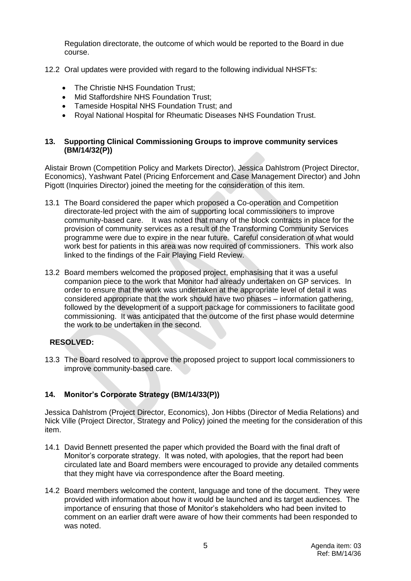Regulation directorate, the outcome of which would be reported to the Board in due course.

- 12.2 Oral updates were provided with regard to the following individual NHSFTs:
	- The Christie NHS Foundation Trust:
	- Mid Staffordshire NHS Foundation Trust:
	- Tameside Hospital NHS Foundation Trust: and
	- Royal National Hospital for Rheumatic Diseases NHS Foundation Trust.

### **13. Supporting Clinical Commissioning Groups to improve community services (BM/14/32(P))**

Alistair Brown (Competition Policy and Markets Director), Jessica Dahlstrom (Project Director, Economics), Yashwant Patel (Pricing Enforcement and Case Management Director) and John Pigott (Inquiries Director) joined the meeting for the consideration of this item.

- 13.1 The Board considered the paper which proposed a Co-operation and Competition directorate-led project with the aim of supporting local commissioners to improve community-based care. It was noted that many of the block contracts in place for the provision of community services as a result of the Transforming Community Services programme were due to expire in the near future. Careful consideration of what would work best for patients in this area was now required of commissioners. This work also linked to the findings of the Fair Playing Field Review.
- 13.2 Board members welcomed the proposed project, emphasising that it was a useful companion piece to the work that Monitor had already undertaken on GP services. In order to ensure that the work was undertaken at the appropriate level of detail it was considered appropriate that the work should have two phases – information gathering, followed by the development of a support package for commissioners to facilitate good commissioning. It was anticipated that the outcome of the first phase would determine the work to be undertaken in the second.

### **RESOLVED:**

13.3 The Board resolved to approve the proposed project to support local commissioners to improve community-based care.

# **14. Monitor's Corporate Strategy (BM/14/33(P))**

Jessica Dahlstrom (Project Director, Economics), Jon Hibbs (Director of Media Relations) and Nick Ville (Project Director, Strategy and Policy) joined the meeting for the consideration of this item.

- 14.1 David Bennett presented the paper which provided the Board with the final draft of Monitor's corporate strategy. It was noted, with apologies, that the report had been circulated late and Board members were encouraged to provide any detailed comments that they might have via correspondence after the Board meeting.
- 14.2 Board members welcomed the content, language and tone of the document. They were provided with information about how it would be launched and its target audiences. The importance of ensuring that those of Monitor's stakeholders who had been invited to comment on an earlier draft were aware of how their comments had been responded to was noted.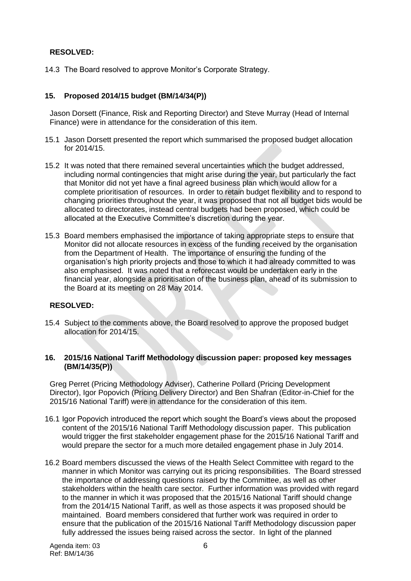# **RESOLVED:**

14.3 The Board resolved to approve Monitor's Corporate Strategy.

### **15. Proposed 2014/15 budget (BM/14/34(P))**

Jason Dorsett (Finance, Risk and Reporting Director) and Steve Murray (Head of Internal Finance) were in attendance for the consideration of this item.

- 15.1 Jason Dorsett presented the report which summarised the proposed budget allocation for 2014/15.
- 15.2 It was noted that there remained several uncertainties which the budget addressed, including normal contingencies that might arise during the year, but particularly the fact that Monitor did not yet have a final agreed business plan which would allow for a complete prioritisation of resources. In order to retain budget flexibility and to respond to changing priorities throughout the year, it was proposed that not all budget bids would be allocated to directorates, instead central budgets had been proposed, which could be allocated at the Executive Committee's discretion during the year.
- 15.3 Board members emphasised the importance of taking appropriate steps to ensure that Monitor did not allocate resources in excess of the funding received by the organisation from the Department of Health. The importance of ensuring the funding of the organisation's high priority projects and those to which it had already committed to was also emphasised. It was noted that a reforecast would be undertaken early in the financial year, alongside a prioritisation of the business plan, ahead of its submission to the Board at its meeting on 28 May 2014.

### **RESOLVED:**

15.4 Subject to the comments above, the Board resolved to approve the proposed budget allocation for 2014/15.

### **16. 2015/16 National Tariff Methodology discussion paper: proposed key messages (BM/14/35(P))**

Greg Perret (Pricing Methodology Adviser), Catherine Pollard (Pricing Development Director), Igor Popovich (Pricing Delivery Director) and Ben Shafran (Editor-in-Chief for the 2015/16 National Tariff) were in attendance for the consideration of this item.

- 16.1 Igor Popovich introduced the report which sought the Board's views about the proposed content of the 2015/16 National Tariff Methodology discussion paper. This publication would trigger the first stakeholder engagement phase for the 2015/16 National Tariff and would prepare the sector for a much more detailed engagement phase in July 2014.
- 16.2 Board members discussed the views of the Health Select Committee with regard to the manner in which Monitor was carrying out its pricing responsibilities. The Board stressed the importance of addressing questions raised by the Committee, as well as other stakeholders within the health care sector. Further information was provided with regard to the manner in which it was proposed that the 2015/16 National Tariff should change from the 2014/15 National Tariff, as well as those aspects it was proposed should be maintained. Board members considered that further work was required in order to ensure that the publication of the 2015/16 National Tariff Methodology discussion paper fully addressed the issues being raised across the sector. In light of the planned